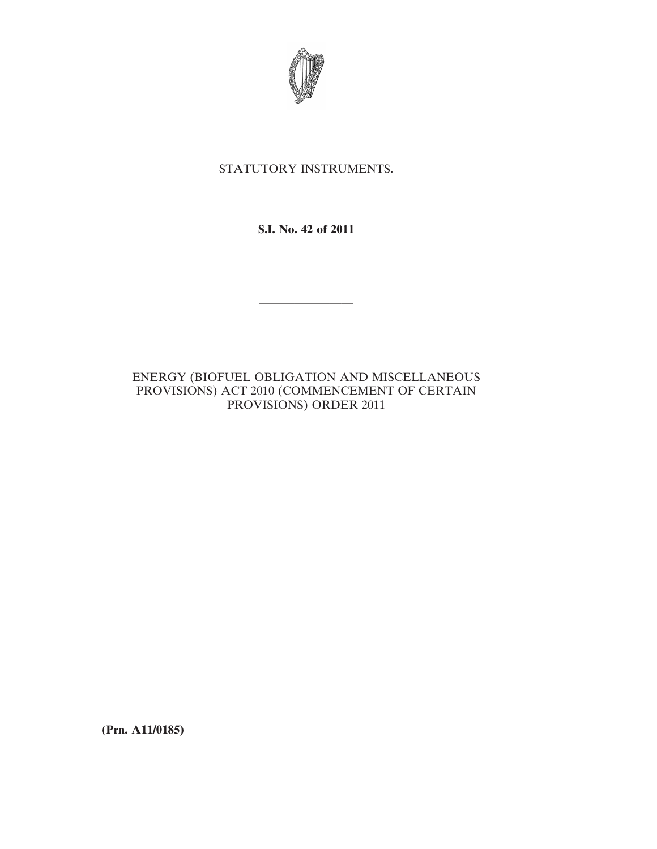

# STATUTORY INSTRUMENTS.

**S.I. No. 42 of 2011**

————————

# ENERGY (BIOFUEL OBLIGATION AND MISCELLANEOUS PROVISIONS) ACT 2010 (COMMENCEMENT OF CERTAIN PROVISIONS) ORDER 2011

**(Prn. A11/0185)**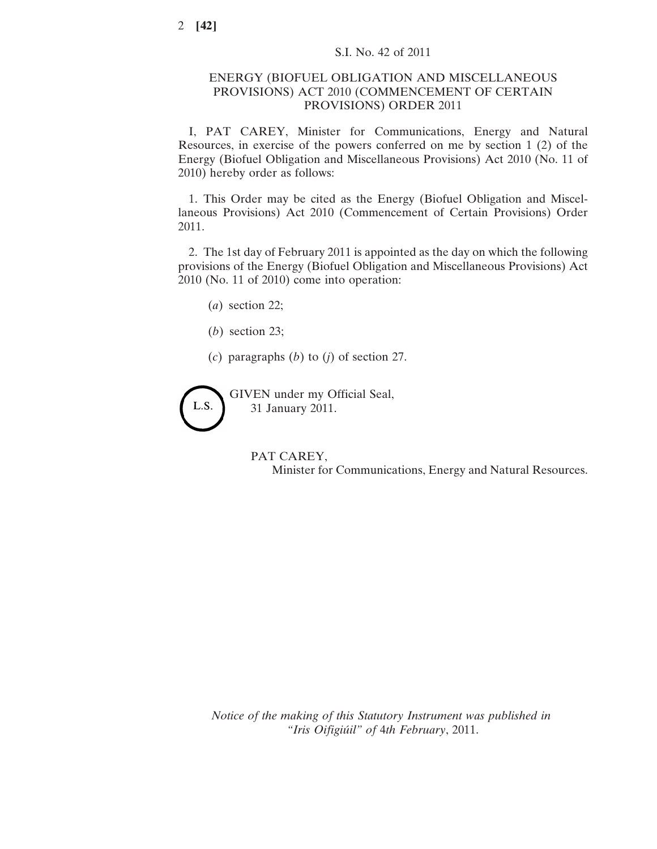### ENERGY (BIOFUEL OBLIGATION AND MISCELLANEOUS PROVISIONS) ACT 2010 (COMMENCEMENT OF CERTAIN PROVISIONS) ORDER 2011

I, PAT CAREY, Minister for Communications, Energy and Natural Resources, in exercise of the powers conferred on me by section 1 (2) of the Energy (Biofuel Obligation and Miscellaneous Provisions) Act 2010 (No. 11 of 2010) hereby order as follows:

1. This Order may be cited as the Energy (Biofuel Obligation and Miscellaneous Provisions) Act 2010 (Commencement of Certain Provisions) Order 2011.

2. The 1st day of February 2011 is appointed as the day on which the following provisions of the Energy (Biofuel Obligation and Miscellaneous Provisions) Act 2010 (No. 11 of 2010) come into operation:

- (*a*) section 22;
- (*b*) section 23;
- (*c*) paragraphs (*b*) to (*j*) of section 27.

L.S.

GIVEN under my Official Seal, 31 January 2011.

#### PAT CAREY,

Minister for Communications, Energy and Natural Resources.

*Notice of the making of this Statutory Instrument was published in "Iris Oifigiúil" of* 4*th February*, 2011.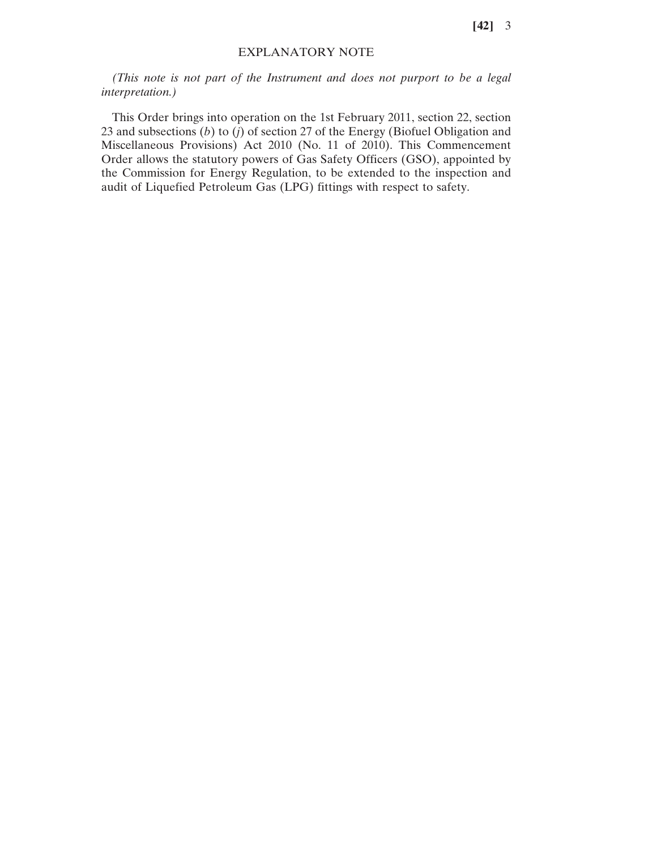**[42]** 3

### EXPLANATORY NOTE

*(This note is not part of the Instrument and does not purport to be a legal interpretation.)*

This Order brings into operation on the 1st February 2011, section 22, section 23 and subsections (*b*) to (*j*) of section 27 of the Energy (Biofuel Obligation and Miscellaneous Provisions) Act 2010 (No. 11 of 2010). This Commencement Order allows the statutory powers of Gas Safety Officers (GSO), appointed by the Commission for Energy Regulation, to be extended to the inspection and audit of Liquefied Petroleum Gas (LPG) fittings with respect to safety.